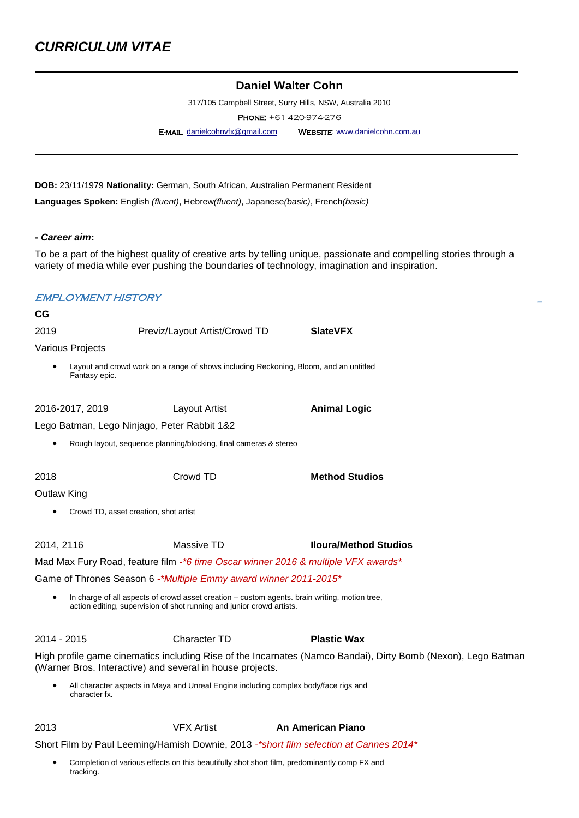# **Daniel Walter Cohn**

317/105 Campbell Street, Surry Hills, NSW, Australia 2010

Phone: +61 420-974-276

E-MAIL [danielcohnvfx@gmail.com](javascript:top.opencompose() WEBSITE: www.danielcohn.com.au

**DOB:** 23/11/1979 **Nationality:** German, South African, Australian Permanent Resident

**Languages Spoken:** English *(fluent)*, Hebrew*(fluent)*, Japanese*(basic)*, French*(basic)*

*- Career aim***:**

tracking.

To be a part of the highest quality of creative arts by telling unique, passionate and compelling stories through a variety of media while ever pushing the boundaries of technology, imagination and inspiration.

|             | EMPLOYMENT HISTORY                    |                                                                                                                                                                        |                                                                                                               |
|-------------|---------------------------------------|------------------------------------------------------------------------------------------------------------------------------------------------------------------------|---------------------------------------------------------------------------------------------------------------|
| СG          |                                       |                                                                                                                                                                        |                                                                                                               |
| 2019        |                                       | Previz/Layout Artist/Crowd TD                                                                                                                                          | <b>SlateVFX</b>                                                                                               |
|             | Various Projects                      |                                                                                                                                                                        |                                                                                                               |
|             | Fantasy epic.                         | Layout and crowd work on a range of shows including Reckoning, Bloom, and an untitled                                                                                  |                                                                                                               |
|             | 2016-2017, 2019                       | Layout Artist                                                                                                                                                          | <b>Animal Logic</b>                                                                                           |
|             |                                       | Lego Batman, Lego Ninjago, Peter Rabbit 1&2                                                                                                                            |                                                                                                               |
|             |                                       | Rough layout, sequence planning/blocking, final cameras & stereo                                                                                                       |                                                                                                               |
| 2018        |                                       | Crowd TD                                                                                                                                                               | <b>Method Studios</b>                                                                                         |
| Outlaw King |                                       |                                                                                                                                                                        |                                                                                                               |
|             | Crowd TD, asset creation, shot artist |                                                                                                                                                                        |                                                                                                               |
| 2014, 2116  |                                       | Massive TD                                                                                                                                                             | <b>Iloura/Method Studios</b>                                                                                  |
|             |                                       | Mad Max Fury Road, feature film -*6 time Oscar winner 2016 & multiple VFX awards*                                                                                      |                                                                                                               |
|             |                                       | Game of Thrones Season 6 -*Multiple Emmy award winner 2011-2015*                                                                                                       |                                                                                                               |
|             |                                       | In charge of all aspects of crowd asset creation – custom agents. brain writing, motion tree,<br>action editing, supervision of shot running and junior crowd artists. |                                                                                                               |
| 2014 - 2015 |                                       | Character TD                                                                                                                                                           | <b>Plastic Wax</b>                                                                                            |
|             |                                       | (Warner Bros. Interactive) and several in house projects.                                                                                                              | High profile game cinematics including Rise of the Incarnates (Namco Bandai), Dirty Bomb (Nexon), Lego Batman |
|             | character fx.                         | All character aspects in Maya and Unreal Engine including complex body/face rigs and                                                                                   |                                                                                                               |
| 2013        |                                       | <b>VFX Artist</b>                                                                                                                                                      | An American Piano                                                                                             |
|             |                                       |                                                                                                                                                                        | Short Film by Paul Leeming/Hamish Downie, 2013 -*short film selection at Cannes 2014*                         |
|             |                                       | Completion of various effects on this beautifully shot short film, predominantly comp FX and                                                                           |                                                                                                               |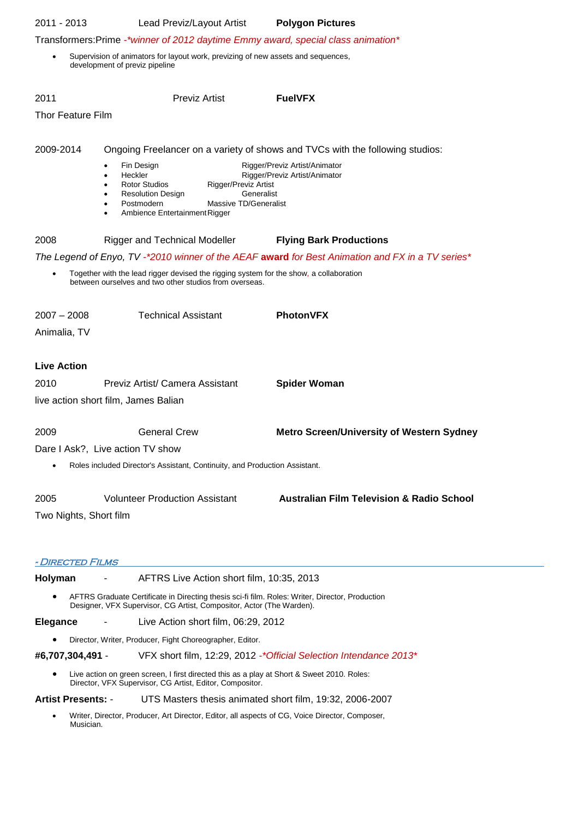| 2011 - 2013                               | Lead Previz/Layout Artist                                                                                                                        |                                    | <b>Polygon Pictures</b>                                                                          |
|-------------------------------------------|--------------------------------------------------------------------------------------------------------------------------------------------------|------------------------------------|--------------------------------------------------------------------------------------------------|
|                                           |                                                                                                                                                  |                                    | Transformers: Prime -*winner of 2012 daytime Emmy award, special class animation*                |
|                                           | Supervision of animators for layout work, previzing of new assets and sequences,<br>development of previz pipeline                               |                                    |                                                                                                  |
| 2011                                      | <b>Previz Artist</b>                                                                                                                             |                                    | <b>FuelVFX</b>                                                                                   |
| Thor Feature Film                         |                                                                                                                                                  |                                    |                                                                                                  |
| 2009-2014                                 |                                                                                                                                                  |                                    |                                                                                                  |
|                                           |                                                                                                                                                  |                                    | Ongoing Freelancer on a variety of shows and TVCs with the following studios:                    |
|                                           | Fin Design<br>Heckler                                                                                                                            |                                    | Rigger/Previz Artist/Animator<br>Rigger/Previz Artist/Animator                                   |
|                                           | <b>Rotor Studios</b><br><b>Resolution Design</b>                                                                                                 | Rigger/Previz Artist<br>Generalist |                                                                                                  |
|                                           | Postmodern                                                                                                                                       | Massive TD/Generalist              |                                                                                                  |
|                                           | Ambience Entertainment Rigger                                                                                                                    |                                    |                                                                                                  |
| 2008                                      | <b>Rigger and Technical Modeller</b>                                                                                                             |                                    | <b>Flying Bark Productions</b>                                                                   |
|                                           |                                                                                                                                                  |                                    | The Legend of Enyo, TV -*2010 winner of the AEAF award for Best Animation and FX in a TV series* |
|                                           | Together with the lead rigger devised the rigging system for the show, a collaboration<br>between ourselves and two other studios from overseas. |                                    |                                                                                                  |
| $2007 - 2008$                             | <b>Technical Assistant</b>                                                                                                                       |                                    | PhotonVFX                                                                                        |
| Animalia, TV                              |                                                                                                                                                  |                                    |                                                                                                  |
|                                           |                                                                                                                                                  |                                    |                                                                                                  |
| <b>Live Action</b>                        |                                                                                                                                                  |                                    |                                                                                                  |
| 2010                                      | Previz Artist/ Camera Assistant                                                                                                                  |                                    | <b>Spider Woman</b>                                                                              |
|                                           | live action short film, James Balian                                                                                                             |                                    |                                                                                                  |
| 2009                                      | <b>General Crew</b>                                                                                                                              |                                    | <b>Metro Screen/University of Western Sydney</b>                                                 |
|                                           | Dare I Ask?, Live action TV show                                                                                                                 |                                    |                                                                                                  |
|                                           |                                                                                                                                                  |                                    |                                                                                                  |
|                                           | Roles included Director's Assistant, Continuity, and Production Assistant.                                                                       |                                    |                                                                                                  |
| 2005                                      | <b>Volunteer Production Assistant</b>                                                                                                            |                                    | <b>Australian Film Television &amp; Radio School</b>                                             |
| Two Nights, Short film                    |                                                                                                                                                  |                                    |                                                                                                  |
|                                           |                                                                                                                                                  |                                    |                                                                                                  |
|                                           |                                                                                                                                                  |                                    |                                                                                                  |
| <i><b>- DIRECTED FILMS</b></i><br>Holyman | AFTRS Live Action short film, 10:35, 2013                                                                                                        |                                    |                                                                                                  |
|                                           |                                                                                                                                                  |                                    | AFTRS Graduate Certificate in Directing thesis sci-fi film. Roles: Writer, Director, Production  |
|                                           | Designer, VFX Supervisor, CG Artist, Compositor, Actor (The Warden).                                                                             |                                    |                                                                                                  |
| <b>Elegance</b>                           | Live Action short film, 06:29, 2012                                                                                                              |                                    |                                                                                                  |
|                                           |                                                                                                                                                  |                                    |                                                                                                  |
|                                           | Director, Writer, Producer, Fight Choreographer, Editor.                                                                                         |                                    |                                                                                                  |
| #6,707,304,491 -                          |                                                                                                                                                  |                                    | VFX short film, 12:29, 2012 - * Official Selection Intendance 2013 *                             |
|                                           | Director, VFX Supervisor, CG Artist, Editor, Compositor.                                                                                         |                                    | Live action on green screen, I first directed this as a play at Short & Sweet 2010. Roles:       |
| <b>Artist Presents: -</b>                 |                                                                                                                                                  |                                    | UTS Masters thesis animated short film, 19:32, 2006-2007                                         |
| Musician.                                 |                                                                                                                                                  |                                    | Writer, Director, Producer, Art Director, Editor, all aspects of CG, Voice Director, Composer,   |
|                                           |                                                                                                                                                  |                                    |                                                                                                  |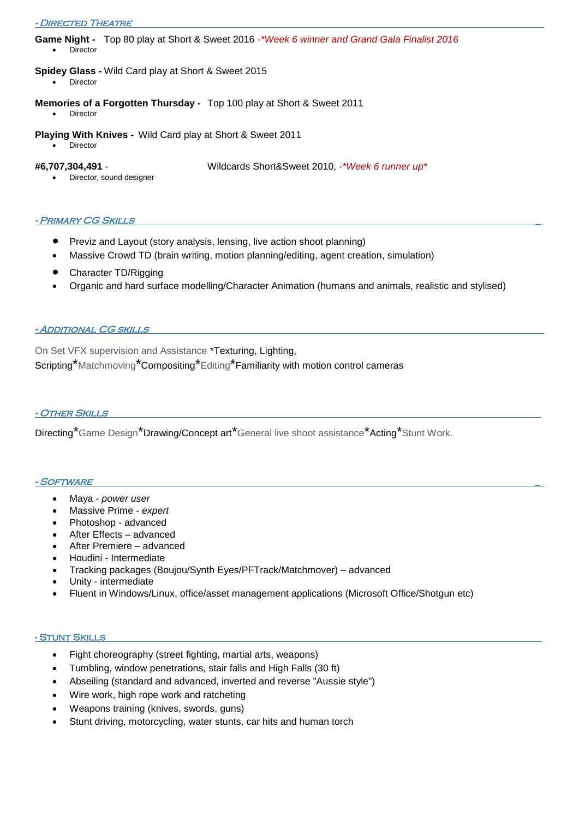**Game Night -** Top 80 play at Short & Sweet 2016 -*\*Week 6 winner and Grand Gala Finalist 2016* Director

## **Spidey Glass -** Wild Card play at Short & Sweet 2015

- Director
- **Memories of a Forgotten Thursday -** Top 100 play at Short & Sweet 2011
	- Director
- **Playing With Knives -** Wild Card play at Short & Sweet 2011
	- Director

**#6,707,304,491** - Wildcards Short&Sweet 2010, -*\*Week 6 runner up\**

Director, sound designer

## - PRIMARY CG SKILLS

- Previz and Layout (story analysis, lensing, live action shoot planning)
- Massive Crowd TD (brain writing, motion planning/editing, agent creation, simulation)
- Character TD/Rigging
- Organic and hard surface modelling/Character Animation (humans and animals, realistic and stylised)

## - Additional CG skills

On Set VFX supervision and Assistance \*Texturing, Lighting, Scripting\*Matchmoving\*Compositing\*Editing\*Familiarity with motion control cameras

### - Other Skills

Directing<sup>\*</sup>Game Design<sup>\*</sup>Drawing/Concept art<sup>\*</sup>General live shoot assistance<sup>\*</sup>Acting<sup>\*</sup>Stunt Work.

#### - SOFTWARE

- Maya *power user*
- Massive Prime *- expert*
- Photoshop advanced
- After Effects advanced
- After Premiere advanced
- Houdini Intermediate
- Tracking packages (Boujou/Synth Eyes/PFTrack/Matchmover) advanced
- Unity intermediate
- Fluent in Windows/Linux, office/asset management applications (Microsoft Office/Shotgun etc)

## - Stunt Skills

- Fight choreography (street fighting, martial arts, weapons)
- Tumbling, window penetrations, stair falls and High Falls (30 ft)
- Abseiling (standard and advanced, inverted and reverse "Aussie style")
- Wire work, high rope work and ratcheting
- Weapons training (knives, swords, guns)
- Stunt driving, motorcycling, water stunts, car hits and human torch